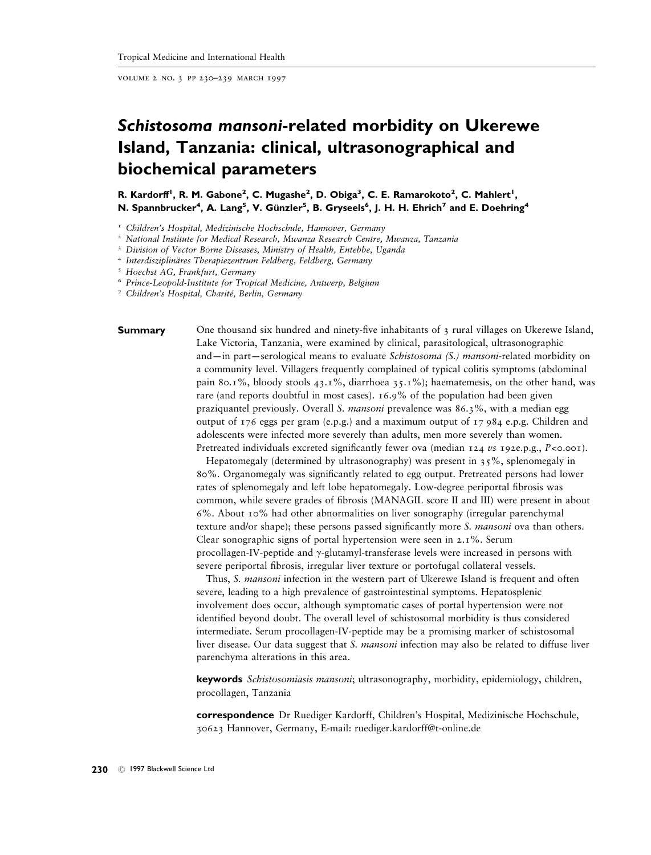volume 2 no. 3 pp 230–239 march 1997

# *Schistosoma mansoni***-related morbidity on Ukerewe Island, Tanzania: clinical, ultrasonographical and biochemical parameters**

R. Kardorff<sup>1</sup>, R. M. Gabone<sup>2</sup>, C. Mugashe<sup>2</sup>, D. Obiga<sup>3</sup>, C. E. Ramarokoto<sup>2</sup>, C. Mahlert<sup>1</sup>, **N. Spannbrucker<sup>4</sup>, A. Lang<sup>5</sup>, V. Günzler<sup>5</sup>, B. Gryseels<sup>6</sup>, J. H. H. Ehrich<sup>7</sup> and E. Doehring<sup>4</sup>** 

<sup>4</sup> *Interdisziplinäres Therapiezentrum Feldberg, Feldberg, Germany*

<sup>7</sup> *Children's Hospital, Charité, Berlin, Germany*

**Summary** One thousand six hundred and ninety-five inhabitants of 3 rural villages on Ukerewe Island, Lake Victoria, Tanzania, were examined by clinical, parasitological, ultrasonographic and—in part—serological means to evaluate *Schistosoma (S.) mansoni*-related morbidity on a community level. Villagers frequently complained of typical colitis symptoms (abdominal pain 80.1%, bloody stools 43.1%, diarrhoea 35.1%); haematemesis, on the other hand, was rare (and reports doubtful in most cases). 16.9% of the population had been given praziquantel previously. Overall *S. mansoni* prevalence was 86.3%, with a median egg output of 176 eggs per gram (e.p.g.) and a maximum output of 17 984 e.p.g. Children and adolescents were infected more severely than adults, men more severely than women. Pretreated individuals excreted significantly fewer ova (median 124 *vs* 192e.p.g., *P*<0.001).

> Hepatomegaly (determined by ultrasonography) was present in  $35\%$ , splenomegaly in 80%. Organomegaly was significantly related to egg output. Pretreated persons had lower rates of splenomegaly and left lobe hepatomegaly. Low-degree periportal fibrosis was common, while severe grades of fibrosis (MANAGIL score II and III) were present in about 6%. About 10% had other abnormalities on liver sonography (irregular parenchymal texture and/or shape); these persons passed significantly more *S. mansoni* ova than others. Clear sonographic signs of portal hypertension were seen in 2.1%. Serum procollagen-IV-peptide and  $\gamma$ -glutamyl-transferase levels were increased in persons with severe periportal fibrosis, irregular liver texture or portofugal collateral vessels.

> Thus, *S. mansoni* infection in the western part of Ukerewe Island is frequent and often severe, leading to a high prevalence of gastrointestinal symptoms. Hepatosplenic involvement does occur, although symptomatic cases of portal hypertension were not identified beyond doubt. The overall level of schistosomal morbidity is thus considered intermediate. Serum procollagen-IV-peptide may be a promising marker of schistosomal liver disease. Our data suggest that *S. mansoni* infection may also be related to diffuse liver parenchyma alterations in this area.

**keywords** *Schistosomiasis mansoni*; ultrasonography, morbidity, epidemiology, children, procollagen, Tanzania

**correspondence** Dr Ruediger Kardorff, Children's Hospital, Medizinische Hochschule, 30623 Hannover, Germany, E-mail: ruediger.kardorff@t-online.de

<sup>1</sup> *Children's Hospital, Medizinische Hochschule, Hannover, Germany*

<sup>2</sup> *National Institute for Medical Research, Mwanza Research Centre, Mwanza, Tanzania*

<sup>3</sup> *Division of Vector Borne Diseases, Ministry of Health, Entebbe, Uganda*

<sup>5</sup> *Hoechst AG, Frankfurt, Germany*

<sup>6</sup> *Prince-Leopold-Institute for Tropical Medicine, Antwerp, Belgium*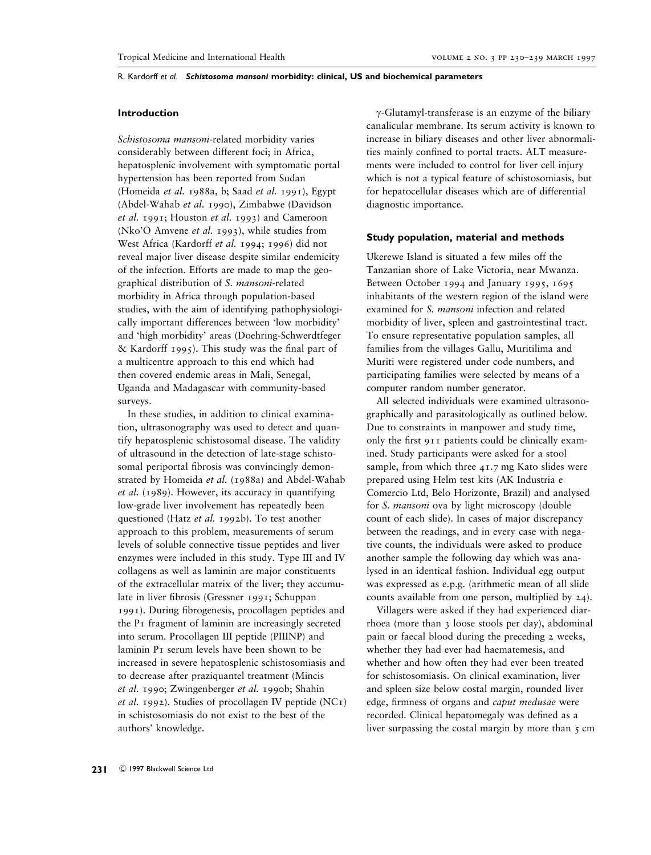# **Introduction**

*Schistosoma mansoni*-related morbidity varies considerably between different foci; in Africa, hepatosplenic involvement with symptomatic portal hypertension has been reported from Sudan (Homeida *et al.* 1988a, b; Saad *et al.* 1991), Egypt (Abdel-Wahab *et al.* 1990), Zimbabwe (Davidson *et al.* 1991; Houston *et al.* 1993) and Cameroon (Nko'O Amvene *et al.* 1993), while studies from West Africa (Kardorff *et al.* 1994; 1996) did not reveal major liver disease despite similar endemicity of the infection. Efforts are made to map the geographical distribution of *S. mansoni*-related morbidity in Africa through population-based studies, with the aim of identifying pathophysiologically important differences between 'low morbidity' and 'high morbidity' areas (Doehring-Schwerdtfeger & Kardorff 1995). This study was the final part of a multicentre approach to this end which had then covered endemic areas in Mali, Senegal, Uganda and Madagascar with community-based surveys.

In these studies, in addition to clinical examination, ultrasonography was used to detect and quantify hepatosplenic schistosomal disease. The validity of ultrasound in the detection of late-stage schistosomal periportal fibrosis was convincingly demonstrated by Homeida *et al.* (1988a) and Abdel-Wahab *et al.* (1989). However, its accuracy in quantifying low-grade liver involvement has repeatedly been questioned (Hatz *et al.* 1992b). To test another approach to this problem, measurements of serum levels of soluble connective tissue peptides and liver enzymes were included in this study. Type III and IV collagens as well as laminin are major constituents of the extracellular matrix of the liver; they accumulate in liver fibrosis (Gressner 1991; Schuppan 1991). During fibrogenesis, procollagen peptides and the P1 fragment of laminin are increasingly secreted into serum. Procollagen III peptide (PIIINP) and laminin P<sub>I</sub> serum levels have been shown to be increased in severe hepatosplenic schistosomiasis and to decrease after praziquantel treatment (Mincis *et al.* 1990; Zwingenberger *et al.* 1990b; Shahin *et al.* 1992). Studies of procollagen IV peptide (NC1) in schistosomiasis do not exist to the best of the authors' knowledge.

 $\gamma$ -Glutamyl-transferase is an enzyme of the biliary canalicular membrane. Its serum activity is known to increase in biliary diseases and other liver abnormalities mainly confined to portal tracts. ALT measurements were included to control for liver cell injury which is not a typical feature of schistosomiasis, but for hepatocellular diseases which are of differential diagnostic importance.

#### **Study population, material and methods**

Ukerewe Island is situated a few miles off the Tanzanian shore of Lake Victoria, near Mwanza. Between October 1994 and January 1995, 1695 inhabitants of the western region of the island were examined for *S. mansoni* infection and related morbidity of liver, spleen and gastrointestinal tract. To ensure representative population samples, all families from the villages Gallu, Muritilima and Muriti were registered under code numbers, and participating families were selected by means of a computer random number generator.

All selected individuals were examined ultrasonographically and parasitologically as outlined below. Due to constraints in manpower and study time, only the first 911 patients could be clinically examined. Study participants were asked for a stool sample, from which three 41.7 mg Kato slides were prepared using Helm test kits (AK Industria e Comercio Ltd, Belo Horizonte, Brazil) and analysed for *S. mansoni* ova by light microscopy (double count of each slide). In cases of major discrepancy between the readings, and in every case with negative counts, the individuals were asked to produce another sample the following day which was analysed in an identical fashion. Individual egg output was expressed as e.p.g. (arithmetic mean of all slide counts available from one person, multiplied by 24).

Villagers were asked if they had experienced diarrhoea (more than 3 loose stools per day), abdominal pain or faecal blood during the preceding 2 weeks, whether they had ever had haematemesis, and whether and how often they had ever been treated for schistosomiasis. On clinical examination, liver and spleen size below costal margin, rounded liver edge, firmness of organs and *caput medusae* were recorded. Clinical hepatomegaly was defined as a liver surpassing the costal margin by more than  $\varsigma$  cm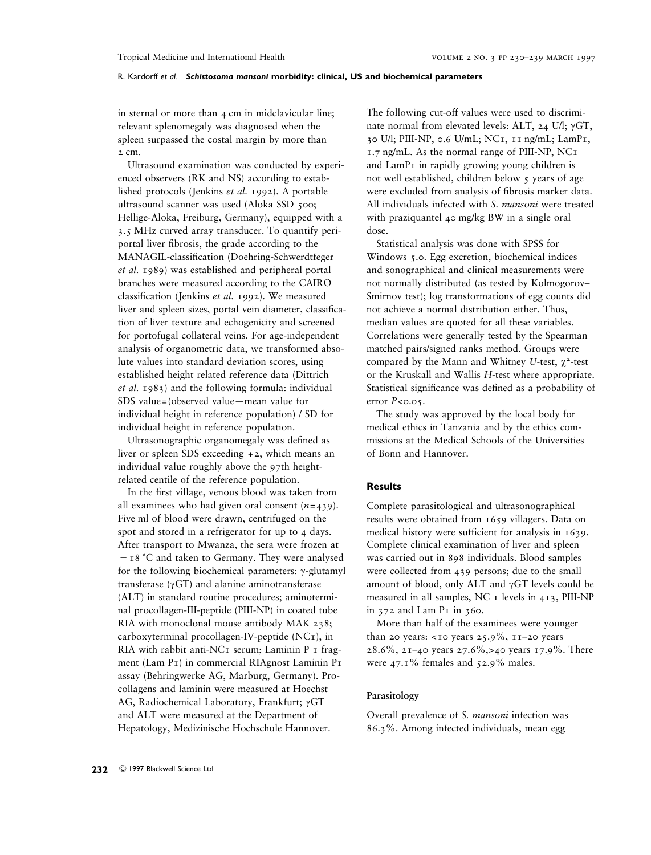in sternal or more than 4 cm in midclavicular line; relevant splenomegaly was diagnosed when the spleen surpassed the costal margin by more than 2 cm.

Ultrasound examination was conducted by experienced observers (RK and NS) according to established protocols (Jenkins *et al.* 1992). A portable ultrasound scanner was used (Aloka SSD 500; Hellige-Aloka, Freiburg, Germany), equipped with a 3.5 MHz curved array transducer. To quantify periportal liver fibrosis, the grade according to the MANAGIL-classification (Doehring-Schwerdtfeger *et al.* 1989) was established and peripheral portal branches were measured according to the CAIRO classification (Jenkins *et al.* 1992). We measured liver and spleen sizes, portal vein diameter, classification of liver texture and echogenicity and screened for portofugal collateral veins. For age-independent analysis of organometric data, we transformed absolute values into standard deviation scores, using established height related reference data (Dittrich *et al.* 1983) and the following formula: individual SDS value=(observed value—mean value for individual height in reference population) / SD for individual height in reference population.

Ultrasonographic organomegaly was defined as liver or spleen SDS exceeding +2, which means an individual value roughly above the 97th heightrelated centile of the reference population.

In the first village, venous blood was taken from all examinees who had given oral consent (*n*=439). Five ml of blood were drawn, centrifuged on the spot and stored in a refrigerator for up to 4 days. After transport to Mwanza, the sera were frozen at  $-$  18 °C and taken to Germany. They were analysed for the following biochemical parameters:  $\gamma$ -glutamyl transferase  $(\gamma GT)$  and alanine aminotransferase (ALT) in standard routine procedures; aminoterminal procollagen-III-peptide (PIII-NP) in coated tube RIA with monoclonal mouse antibody MAK 238; carboxyterminal procollagen-IV-peptide (NC1), in RIA with rabbit anti-NC1 serum; Laminin P 1 fragment (Lam P<sub>I</sub>) in commercial RIAgnost Laminin P<sub>I</sub> assay (Behringwerke AG, Marburg, Germany). Procollagens and laminin were measured at Hoechst AG, Radiochemical Laboratory, Frankfurt;  $\gamma$ GT and ALT were measured at the Department of Hepatology, Medizinische Hochschule Hannover.

The following cut-off values were used to discriminate normal from elevated levels: ALT, 24 U/l;  $\gamma$ GT, 30 U/l; PIII-NP, 0.6 U/mL; NC1, 11 ng/mL; LamP1, 1.7 ng/mL. As the normal range of PIII-NP, NC1 and LamP1 in rapidly growing young children is not well established, children below 5 years of age were excluded from analysis of fibrosis marker data. All individuals infected with *S. mansoni* were treated with praziquantel 40 mg/kg BW in a single oral dose.

Statistical analysis was done with SPSS for Windows 5.0. Egg excretion, biochemical indices and sonographical and clinical measurements were not normally distributed (as tested by Kolmogorov– Smirnov test); log transformations of egg counts did not achieve a normal distribution either. Thus, median values are quoted for all these variables. Correlations were generally tested by the Spearman matched pairs/signed ranks method. Groups were compared by the Mann and Whitney  $U$ -test,  $\chi^2$ -test or the Kruskall and Wallis *H*-test where appropriate. Statistical significance was defined as a probability of error *P*<0.05.

The study was approved by the local body for medical ethics in Tanzania and by the ethics commissions at the Medical Schools of the Universities of Bonn and Hannover.

## **Results**

Complete parasitological and ultrasonographical results were obtained from 1659 villagers. Data on medical history were sufficient for analysis in 1639. Complete clinical examination of liver and spleen was carried out in 898 individuals. Blood samples were collected from 439 persons; due to the small amount of blood, only ALT and  $\gamma$ GT levels could be measured in all samples, NC  $I$  levels in 413, PIII-NP in  $372$  and Lam P<sub>I</sub> in  $360$ .

More than half of the examinees were younger than 20 years: <10 years  $25.9\%$ ,  $11-20$  years 28.6%, 21–40 years 27.6%,>40 years 17.9%. There were 47.1% females and 52.9% males.

## **Parasitology**

Overall prevalence of *S. mansoni* infection was 86.3%. Among infected individuals, mean egg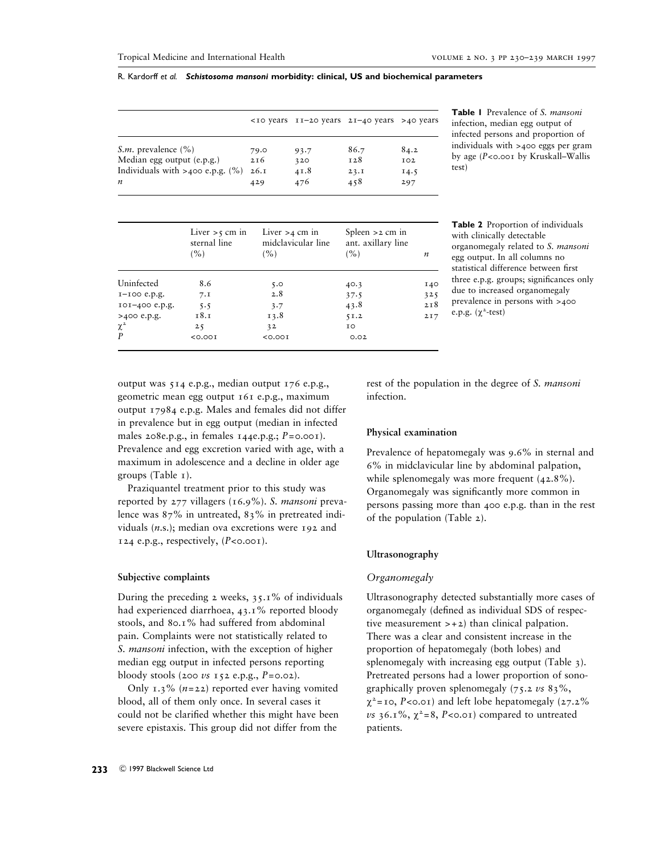|                                       |      |      | $\langle$ To years II-20 years 2I-40 years >40 years |            |
|---------------------------------------|------|------|------------------------------------------------------|------------|
| <i>S.m.</i> prevalence $(\%)$         | 79.0 | 93.7 | 86.7                                                 | 84.2       |
| Median egg output (e.p.g.)            | 216  | 320  | 128                                                  | <b>IO2</b> |
| Individuals with $>400$ e.p.g. $(\%)$ | 26.1 | 41.8 | 23.1                                                 | 14.5       |
| $\boldsymbol{n}$                      | 429  | 476  | 458                                                  | 297        |

**Table 1** Prevalence of *S. mansoni* infection, median egg output of infected persons and proportion of individuals with >400 eggs per gram by age (*P*<0.001 by Kruskall–Wallis test)

|                  | Liver $>5$ cm in<br>sternal line<br>(%) | Liver $>4$ cm in<br>midclavicular line<br>(%) | Spleen $>2$ cm in<br>ant. axillary line<br>(%) | n   |
|------------------|-----------------------------------------|-----------------------------------------------|------------------------------------------------|-----|
| Uninfected       | 8.6                                     | 5.0                                           | 40.3                                           | I40 |
| $I-IOOe.p.g.$    | 7.1                                     | 2.8                                           | 37.5                                           | 325 |
| 101-400 e.p.g.   | 5.5                                     | 3.7                                           | 43.8                                           | 2I8 |
| $>400$ e.p.g.    | 18.I                                    | 13.8                                          | 51.2                                           | 217 |
| $\chi^2$         | 25                                      | 32                                            | ΙO                                             |     |
| $\boldsymbol{P}$ | < 0.001                                 | < 0.001                                       | 0.02                                           |     |

**Table 2** Proportion of individuals with clinically detectable organomegaly related to *S. mansoni* egg output. In all columns no statistical difference between first three e.p.g. groups; significances only due to increased organomegaly prevalence in persons with >400 e.p.g.  $(\chi^2$ -test)

output was 514 e.p.g., median output 176 e.p.g., geometric mean egg output 161 e.p.g., maximum output 17984 e.p.g. Males and females did not differ in prevalence but in egg output (median in infected males 208e.p.g., in females 144e.p.g.; *P*=0.001). Prevalence and egg excretion varied with age, with a maximum in adolescence and a decline in older age groups (Table  $\tau$ ).

Praziquantel treatment prior to this study was reported by 277 villagers (16.9%). *S. mansoni* prevalence was 87% in untreated, 83% in pretreated individuals (*n*.s.); median ova excretions were 192 and 124 e.p.g., respectively,  $(P<0.001)$ .

#### **Subjective complaints**

During the preceding 2 weeks,  $35.1\%$  of individuals had experienced diarrhoea, 43.1% reported bloody stools, and 80.1% had suffered from abdominal pain. Complaints were not statistically related to *S. mansoni* infection, with the exception of higher median egg output in infected persons reporting bloody stools (200 *vs* 152 e.p.g., *P*=0.02).

Only  $1.3\%$  ( $n=22$ ) reported ever having vomited blood, all of them only once. In several cases it could not be clarified whether this might have been severe epistaxis. This group did not differ from the

rest of the population in the degree of *S. mansoni* infection.

#### **Physical examination**

Prevalence of hepatomegaly was 9.6% in sternal and 6% in midclavicular line by abdominal palpation, while splenomegaly was more frequent (42.8%). Organomegaly was significantly more common in persons passing more than 400 e.p.g. than in the rest of the population (Table 2).

# **Ultrasonography**

# *Organomegaly*

Ultrasonography detected substantially more cases of organomegaly (defined as individual SDS of respective measurement  $> +2$ ) than clinical palpation. There was a clear and consistent increase in the proportion of hepatomegaly (both lobes) and splenomegaly with increasing egg output (Table 3). Pretreated persons had a lower proportion of sonographically proven splenomegaly (75.2 *vs* 83%,  $\chi^2$ =10, *P*<0.01) and left lobe hepatomegaly (27.2%)  $\upsilon$ s 36.1%,  $\chi^2$ =8, *P*<0.01) compared to untreated patients.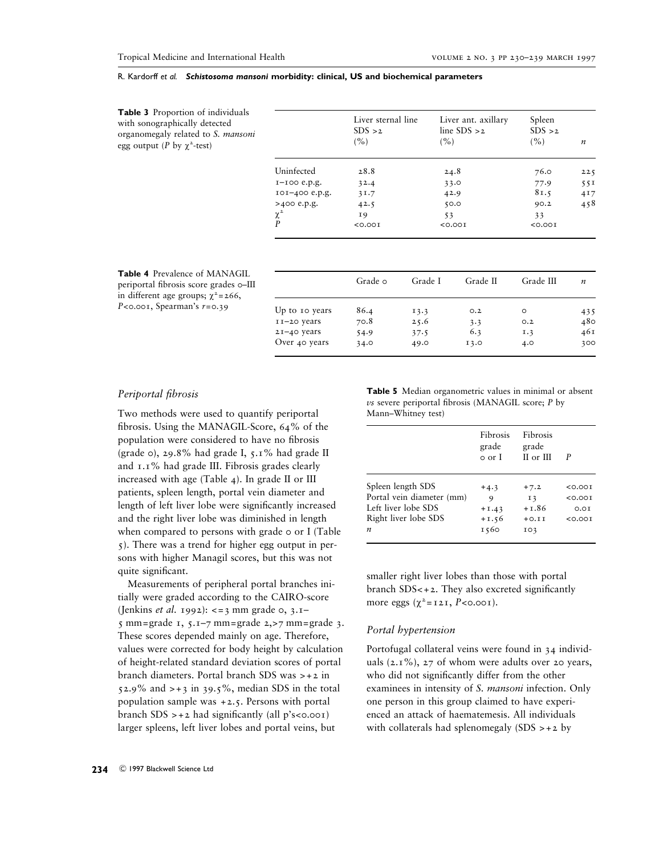| Table 3 Proportion of individuals<br>with sonographically detected<br>organomegaly related to S. <i>mansoni</i><br>egg output (P by $\chi^2$ -test) |                | Liver sternal line<br>SDS > 2<br>$(\%)$ | Liver ant. axillary<br>line $SDS > 2$<br>(%) | Spleen<br>SDS > 2<br>$(\%)$ | $\boldsymbol{n}$ |
|-----------------------------------------------------------------------------------------------------------------------------------------------------|----------------|-----------------------------------------|----------------------------------------------|-----------------------------|------------------|
|                                                                                                                                                     | Uninfected     | 28.8                                    | 24.8                                         | 76.0                        | 225              |
|                                                                                                                                                     | $I-IOOe.p.g.$  | 32.4                                    | 33.0                                         | 77.9                        | 551              |
|                                                                                                                                                     | 101-400 e.p.g. | 31.7                                    | 42.9                                         | 81.5                        | 4 <sub>17</sub>  |
|                                                                                                                                                     | $>400$ e.p.g.  | 42.5                                    | 50.0                                         | 90.2                        | 458              |
|                                                                                                                                                     | $\chi^2$       | 19                                      | 53                                           | 33                          |                  |
|                                                                                                                                                     | P              | < 0.001                                 | < 0.001                                      | 0.001                       |                  |
|                                                                                                                                                     |                |                                         |                                              |                             |                  |

**Table 4** Prevalence of MANAGIL periportal fibrosis score grades 0–III in different age groups;  $\chi^2$ =266, *P*<0.001, Spearman's *r*=0.39

|                | Grade o | Grade I | Grade II | Grade III | n   |
|----------------|---------|---------|----------|-----------|-----|
| Up to 10 years | 86.4    | 13.3    | O.2      | $\circ$   | 435 |
| 11-20 years    | 70.8    | 25.6    | 3.3      | O.2       | 480 |
| $2I-40$ years  | 54.9    | 37.5    | 6.3      | I.3       | 461 |
| Over 40 years  | 34.0    | 49.0    | 13.0     | 4.0       | 300 |

## *Periportal fibrosis*

Two methods were used to quantify periportal fibrosis. Using the MANAGIL-Score, 64% of the population were considered to have no fibrosis (grade  $\circ$ ), 29.8% had grade I, 5.1% had grade II and 1.1% had grade III. Fibrosis grades clearly increased with age (Table 4). In grade II or III patients, spleen length, portal vein diameter and length of left liver lobe were significantly increased and the right liver lobe was diminished in length when compared to persons with grade  $\circ$  or I (Table 5). There was a trend for higher egg output in persons with higher Managil scores, but this was not quite significant.

Measurements of peripheral portal branches initially were graded according to the CAIRO-score (Jenkins *et al.* 1992): < =3 mm grade 0, 3.1–  $5 \text{ mm}$ =grade 1,  $5.1$ -7 mm=grade 2,>7 mm=grade 3. These scores depended mainly on age. Therefore, values were corrected for body height by calculation of height-related standard deviation scores of portal branch diameters. Portal branch SDS was > +2 in 52.9% and  $> +3$  in 39.5%, median SDS in the total population sample was +2.5. Persons with portal branch SDS  $> +2$  had significantly (all  $p's < 0.001$ ) larger spleens, left liver lobes and portal veins, but

**Table 5** Median organometric values in minimal or absent *vs* severe periportal fibrosis (MANAGIL score; *P* by Mann–Whitney test)

|                                                                                                                   | Fibrosis<br>grade<br>o or I               | Fibrosis<br>grade<br>II or III                        | P                                    |
|-------------------------------------------------------------------------------------------------------------------|-------------------------------------------|-------------------------------------------------------|--------------------------------------|
| Spleen length SDS<br>Portal vein diameter (mm)<br>Left liver lobe SDS<br>Right liver lobe SDS<br>$\boldsymbol{n}$ | $+4.3$<br>9<br>$+1.43$<br>$+1.56$<br>1560 | $+7.2$<br>I <sub>3</sub><br>$+1.86$<br>$+0.11$<br>IO3 | < 0.001<br>< 0.001<br>0.01<br>50.001 |

smaller right liver lobes than those with portal branch SDS< +2. They also excreted significantly more eggs  $(\chi^2 = 12I, P < 0.00I)$ .

# *Portal hypertension*

Portofugal collateral veins were found in 34 individuals  $(2.1\%)$ ,  $27$  of whom were adults over 20 years, who did not significantly differ from the other examinees in intensity of *S. mansoni* infection. Only one person in this group claimed to have experienced an attack of haematemesis. All individuals with collaterals had splenomegaly  $(SDS > +2$  by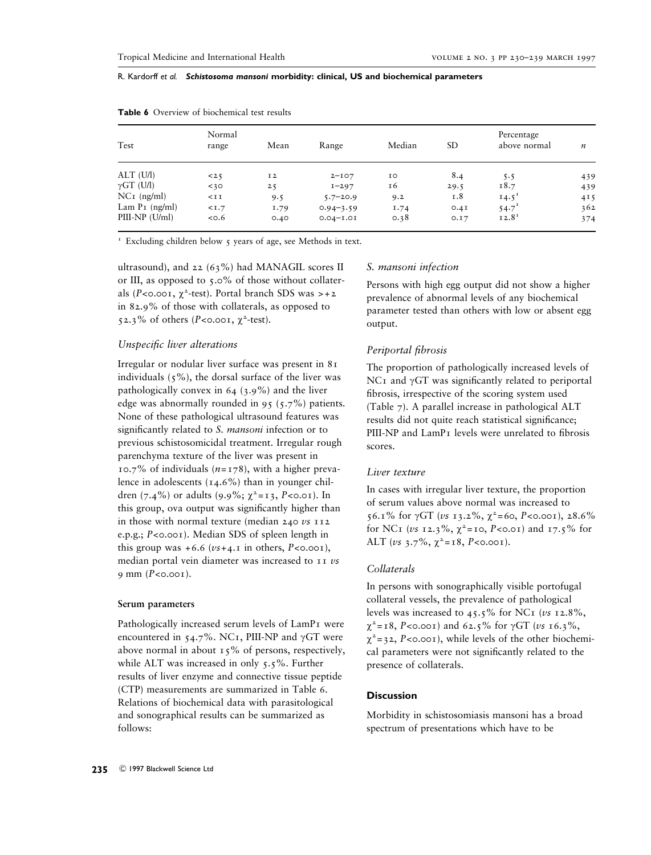| Test              | Normal<br>range | Mean | Range         | Median | <b>SD</b> | Percentage<br>above normal | $\boldsymbol{n}$ |
|-------------------|-----------------|------|---------------|--------|-----------|----------------------------|------------------|
| ALT (U/l)         | < 2.5           | 12   | $2 - 107$     | 10     | 8.4       | 5.5                        | 439              |
| $\gamma$ GT (U/l) | $<$ 30          | 25   | $I - 297$     | 16     | 29.5      | 18.7                       | 439              |
| $NCI$ (ng/ml)     | $\langle$ II    | 9.5  | $5.7 - 20.9$  | 9.2    | 1.8       | 14.5                       | 4 <sub>15</sub>  |
| Lam $Pr$ (ng/ml)  | $I.7$           | I.79 | $0.94 - 3.59$ | I.74   | 0.4I      | 54.7                       | 362              |
| PIII-NP (U/ml)    | < 0.6           | 0.40 | $0.04 - 1.01$ | 0.38   | 0.17      | 12.8 <sup>T</sup>          | 374              |

**Table 6** Overview of biochemical test results

 $1$  Excluding children below  $5$  years of age, see Methods in text.

ultrasound), and 22 (63%) had MANAGIL scores II or III, as opposed to 5.0% of those without collaterals ( $P$ <0.001,  $\chi^2$ -test). Portal branch SDS was > + 2 in 82.9% of those with collaterals, as opposed to 52.3% of others (*P*<0.001,  $\chi^2$ -test).

# *Unspecific liver alterations*

Irregular or nodular liver surface was present in 81 individuals  $(5\%)$ , the dorsal surface of the liver was pathologically convex in 64 (3.9%) and the liver edge was abnormally rounded in 95 (5.7%) patients. None of these pathological ultrasound features was significantly related to *S. mansoni* infection or to previous schistosomicidal treatment. Irregular rough parenchyma texture of the liver was present in 10.7% of individuals (*n*=178), with a higher prevalence in adolescents  $(14.6\%)$  than in younger children  $(7.4\%)$  or adults  $(9.9\%; \chi^2 = 13, P < 0.01)$ . In this group, ova output was significantly higher than in those with normal texture (median 240 *vs* 112 e.p.g.; *P*<0.001). Median SDS of spleen length in this group was  $+6.6$  ( $v$ s $+4.1$  in others,  $P < 0.001$ ), median portal vein diameter was increased to 11 *vs* 9 mm (*P*<0.001).

#### **Serum parameters**

Pathologically increased serum levels of LamP<sub>1</sub> were encountered in  $54.7\%$ . NC1, PIII-NP and  $\gamma$ GT were above normal in about  $15\%$  of persons, respectively, while ALT was increased in only 5.5%. Further results of liver enzyme and connective tissue peptide (CTP) measurements are summarized in Table 6. Relations of biochemical data with parasitological and sonographical results can be summarized as follows:

# *S. mansoni infection*

Persons with high egg output did not show a higher prevalence of abnormal levels of any biochemical parameter tested than others with low or absent egg output.

## *Periportal fibrosis*

The proportion of pathologically increased levels of  $NC<sub>I</sub>$  and  $\gamma GT$  was significantly related to periportal fibrosis, irrespective of the scoring system used (Table 7). A parallel increase in pathological ALT results did not quite reach statistical significance; PIII-NP and LamP<sub>I</sub> levels were unrelated to fibrosis scores.

## *Liver texture*

In cases with irregular liver texture, the proportion of serum values above normal was increased to 56.1% for  $\gamma$ GT (*vs* 13.2%,  $\chi^2$ =60, *P*<0.001), 28.6% for NC1 (*vs* 12.3%,  $\chi^2$ =10, *P*<0.01) and 17.5% for ALT (*vs*  $3.7\%$ ,  $\chi^2 = 18$ , *P*<0.001).

#### *Collaterals*

In persons with sonographically visible portofugal collateral vessels, the prevalence of pathological levels was increased to 45.5% for NC1 (*vs* 12.8%,  $\chi^2$ =18, *P*<0.001) and 62.5% for  $\gamma$ GT (*vs* 16.3%,  $\chi^2$ =32, *P*<0.001), while levels of the other biochemical parameters were not significantly related to the presence of collaterals.

#### **Discussion**

Morbidity in schistosomiasis mansoni has a broad spectrum of presentations which have to be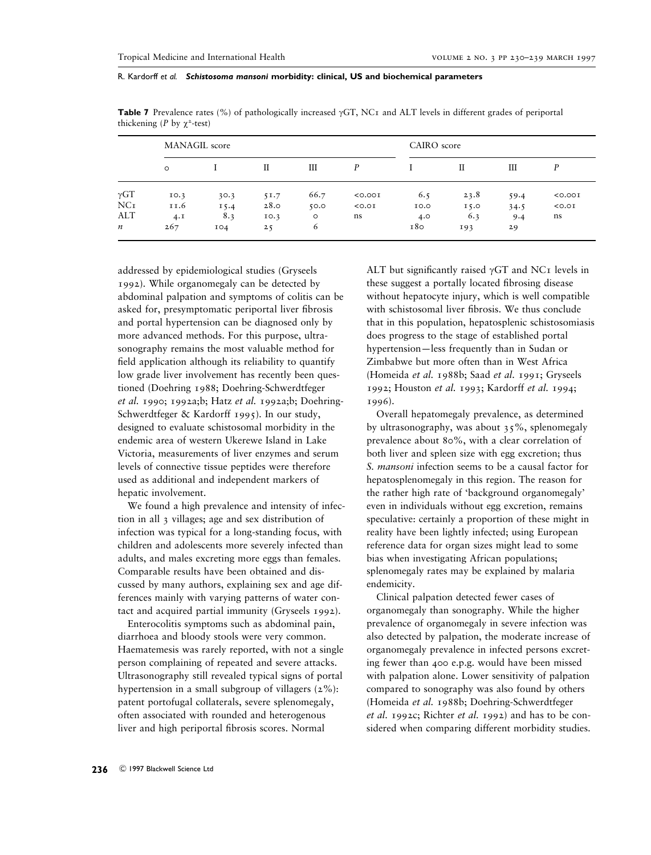|                  | MANAGIL score |      |      |         |       |      | CAIRO score |      |        |
|------------------|---------------|------|------|---------|-------|------|-------------|------|--------|
|                  | $\circ$       |      | П    | Ш       | P     |      | П           | Ш    | P      |
| $\gamma GT$      | IO.3          | 30.3 | 51.7 | 66.7    | 0.001 | 6.5  | 23.8        | 59.4 | 0.001  |
| NC <sub>I</sub>  | II.6          | 15.4 | 28.0 | 50.0    | 0.01  | 10.0 | 15.0        | 34.5 | < 0.01 |
| ALT              | 4.1           | 8.3  | IO.3 | $\circ$ | ns    | 4.0  | 6.3         | 9.4  | ns     |
| $\boldsymbol{n}$ | 267           | IO4  | 25   | 6       |       | 180  | 193         | 29   |        |

**Table 7** Prevalence rates (%) of pathologically increased  $\gamma$ GT, NC1 and ALT levels in different grades of periportal thickening ( $P$  by  $\chi^2$ -test)

addressed by epidemiological studies (Gryseels 1992). While organomegaly can be detected by abdominal palpation and symptoms of colitis can be asked for, presymptomatic periportal liver fibrosis and portal hypertension can be diagnosed only by more advanced methods. For this purpose, ultrasonography remains the most valuable method for field application although its reliability to quantify low grade liver involvement has recently been questioned (Doehring 1988; Doehring-Schwerdtfeger *et al.* 1990; 1992a;b; Hatz *et al.* 1992a;b; Doehring-Schwerdtfeger & Kardorff 1995). In our study, designed to evaluate schistosomal morbidity in the endemic area of western Ukerewe Island in Lake Victoria, measurements of liver enzymes and serum levels of connective tissue peptides were therefore used as additional and independent markers of hepatic involvement.

We found a high prevalence and intensity of infection in all 3 villages; age and sex distribution of infection was typical for a long-standing focus, with children and adolescents more severely infected than adults, and males excreting more eggs than females. Comparable results have been obtained and discussed by many authors, explaining sex and age differences mainly with varying patterns of water contact and acquired partial immunity (Gryseels 1992).

Enterocolitis symptoms such as abdominal pain, diarrhoea and bloody stools were very common. Haematemesis was rarely reported, with not a single person complaining of repeated and severe attacks. Ultrasonography still revealed typical signs of portal hypertension in a small subgroup of villagers (2%): patent portofugal collaterals, severe splenomegaly, often associated with rounded and heterogenous liver and high periportal fibrosis scores. Normal

ALT but significantly raised  $\gamma$ GT and NC<sub>I</sub> levels in these suggest a portally located fibrosing disease without hepatocyte injury, which is well compatible with schistosomal liver fibrosis. We thus conclude that in this population, hepatosplenic schistosomiasis does progress to the stage of established portal hypertension—less frequently than in Sudan or Zimbabwe but more often than in West Africa (Homeida *et al.* 1988b; Saad *et al.* 1991; Gryseels 1992; Houston *et al.* 1993; Kardorff *et al.* 1994; 1996).

Overall hepatomegaly prevalence, as determined by ultrasonography, was about  $35\%$ , splenomegaly prevalence about 80%, with a clear correlation of both liver and spleen size with egg excretion; thus *S. mansoni* infection seems to be a causal factor for hepatosplenomegaly in this region. The reason for the rather high rate of 'background organomegaly' even in individuals without egg excretion, remains speculative: certainly a proportion of these might in reality have been lightly infected; using European reference data for organ sizes might lead to some bias when investigating African populations; splenomegaly rates may be explained by malaria endemicity.

Clinical palpation detected fewer cases of organomegaly than sonography. While the higher prevalence of organomegaly in severe infection was also detected by palpation, the moderate increase of organomegaly prevalence in infected persons excreting fewer than 400 e.p.g. would have been missed with palpation alone. Lower sensitivity of palpation compared to sonography was also found by others (Homeida *et al.* 1988b; Doehring-Schwerdtfeger *et al.* 1992c; Richter *et al.* 1992) and has to be considered when comparing different morbidity studies.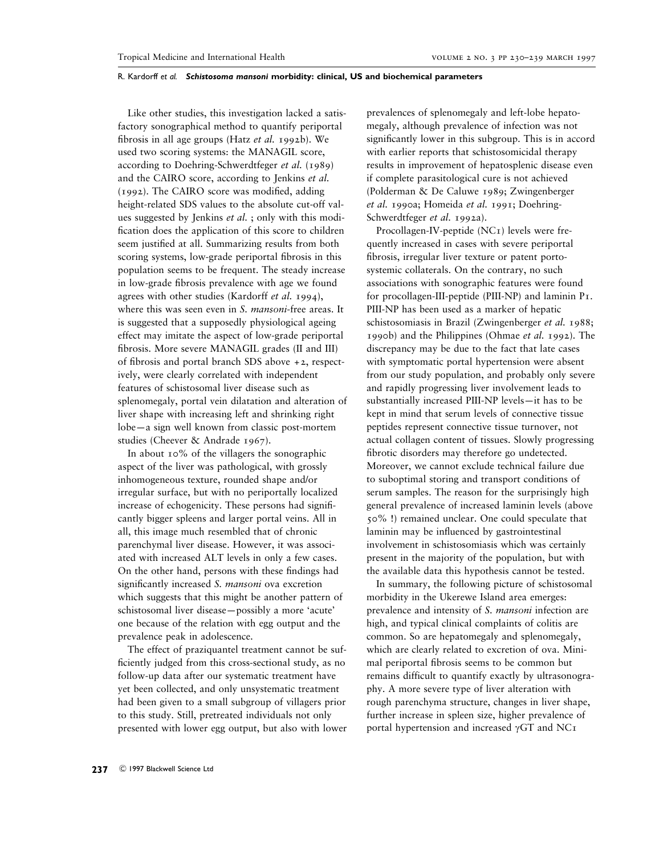Like other studies, this investigation lacked a satisfactory sonographical method to quantify periportal fibrosis in all age groups (Hatz *et al.* 1992b). We used two scoring systems: the MANAGIL score, according to Doehring-Schwerdtfeger *et al.* (1989) and the CAIRO score, according to Jenkins *et al.* (1992). The CAIRO score was modified, adding height-related SDS values to the absolute cut-off values suggested by Jenkins *et al.* ; only with this modification does the application of this score to children seem justified at all. Summarizing results from both scoring systems, low-grade periportal fibrosis in this population seems to be frequent. The steady increase in low-grade fibrosis prevalence with age we found agrees with other studies (Kardorff *et al.* 1994), where this was seen even in *S. mansoni*-free areas. It is suggested that a supposedly physiological ageing effect may imitate the aspect of low-grade periportal fibrosis. More severe MANAGIL grades (II and III) of fibrosis and portal branch SDS above +2, respectively, were clearly correlated with independent features of schistosomal liver disease such as splenomegaly, portal vein dilatation and alteration of liver shape with increasing left and shrinking right lobe—a sign well known from classic post-mortem studies (Cheever & Andrade 1967).

In about 10% of the villagers the sonographic aspect of the liver was pathological, with grossly inhomogeneous texture, rounded shape and/or irregular surface, but with no periportally localized increase of echogenicity. These persons had significantly bigger spleens and larger portal veins. All in all, this image much resembled that of chronic parenchymal liver disease. However, it was associated with increased ALT levels in only a few cases. On the other hand, persons with these findings had significantly increased *S. mansoni* ova excretion which suggests that this might be another pattern of schistosomal liver disease—possibly a more 'acute' one because of the relation with egg output and the prevalence peak in adolescence.

The effect of praziquantel treatment cannot be sufficiently judged from this cross-sectional study, as no follow-up data after our systematic treatment have yet been collected, and only unsystematic treatment had been given to a small subgroup of villagers prior to this study. Still, pretreated individuals not only presented with lower egg output, but also with lower prevalences of splenomegaly and left-lobe hepatomegaly, although prevalence of infection was not significantly lower in this subgroup. This is in accord with earlier reports that schistosomicidal therapy results in improvement of hepatosplenic disease even if complete parasitological cure is not achieved (Polderman & De Caluwe 1989; Zwingenberger *et al.* 1990a; Homeida *et al.* 1991; Doehring-Schwerdtfeger et al. 1992a).

Procollagen-IV-peptide (NC1) levels were frequently increased in cases with severe periportal fibrosis, irregular liver texture or patent portosystemic collaterals. On the contrary, no such associations with sonographic features were found for procollagen-III-peptide (PIII-NP) and laminin P1. PIII-NP has been used as a marker of hepatic schistosomiasis in Brazil (Zwingenberger *et al.* 1988; 1990b) and the Philippines (Ohmae *et al.* 1992). The discrepancy may be due to the fact that late cases with symptomatic portal hypertension were absent from our study population, and probably only severe and rapidly progressing liver involvement leads to substantially increased PIII-NP levels—it has to be kept in mind that serum levels of connective tissue peptides represent connective tissue turnover, not actual collagen content of tissues. Slowly progressing fibrotic disorders may therefore go undetected. Moreover, we cannot exclude technical failure due to suboptimal storing and transport conditions of serum samples. The reason for the surprisingly high general prevalence of increased laminin levels (above 50% !) remained unclear. One could speculate that laminin may be influenced by gastrointestinal involvement in schistosomiasis which was certainly present in the majority of the population, but with the available data this hypothesis cannot be tested.

In summary, the following picture of schistosomal morbidity in the Ukerewe Island area emerges: prevalence and intensity of *S. mansoni* infection are high, and typical clinical complaints of colitis are common. So are hepatomegaly and splenomegaly, which are clearly related to excretion of ova. Minimal periportal fibrosis seems to be common but remains difficult to quantify exactly by ultrasonography. A more severe type of liver alteration with rough parenchyma structure, changes in liver shape, further increase in spleen size, higher prevalence of portal hypertension and increased  $\gamma$ GT and NC<sub>1</sub>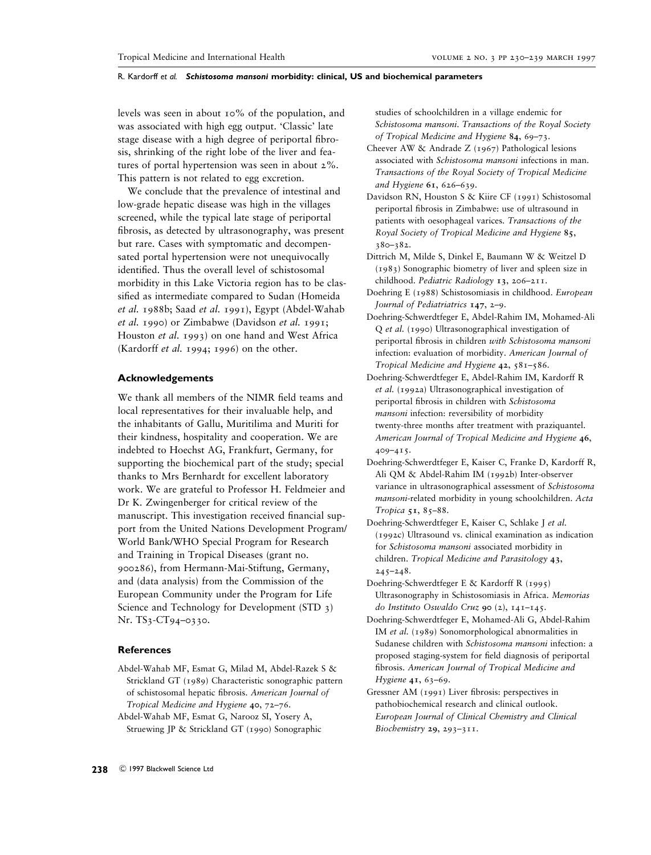levels was seen in about 10% of the population, and was associated with high egg output. 'Classic' late stage disease with a high degree of periportal fibrosis, shrinking of the right lobe of the liver and features of portal hypertension was seen in about 2%. This pattern is not related to egg excretion.

We conclude that the prevalence of intestinal and low-grade hepatic disease was high in the villages screened, while the typical late stage of periportal fibrosis, as detected by ultrasonography, was present but rare. Cases with symptomatic and decompensated portal hypertension were not unequivocally identified. Thus the overall level of schistosomal morbidity in this Lake Victoria region has to be classified as intermediate compared to Sudan (Homeida *et al.* 1988b; Saad *et al.* 1991), Egypt (Abdel-Wahab *et al.* 1990) or Zimbabwe (Davidson *et al.* 1991; Houston *et al.* 1993) on one hand and West Africa (Kardorff *et al.* 1994; 1996) on the other.

#### **Acknowledgements**

We thank all members of the NIMR field teams and local representatives for their invaluable help, and the inhabitants of Gallu, Muritilima and Muriti for their kindness, hospitality and cooperation. We are indebted to Hoechst AG, Frankfurt, Germany, for supporting the biochemical part of the study; special thanks to Mrs Bernhardt for excellent laboratory work. We are grateful to Professor H. Feldmeier and Dr K. Zwingenberger for critical review of the manuscript. This investigation received financial support from the United Nations Development Program/ World Bank/WHO Special Program for Research and Training in Tropical Diseases (grant no. 900286), from Hermann-Mai-Stiftung, Germany, and (data analysis) from the Commission of the European Community under the Program for Life Science and Technology for Development (STD 3) Nr. TS3-CT94-0330.

## **References**

- Abdel-Wahab MF, Esmat G, Milad M, Abdel-Razek S & Strickland GT (1989) Characteristic sonographic pattern of schistosomal hepatic fibrosis. *American Journal of Tropical Medicine and Hygiene* **40**, 72–76.
- Abdel-Wahab MF, Esmat G, Narooz SI, Yosery A, Struewing JP & Strickland GT (1990) Sonographic

studies of schoolchildren in a village endemic for *Schistosoma mansoni*. *Transactions of the Royal Society of Tropical Medicine and Hygiene* **84**, 69–73.

- Cheever AW & Andrade Z (1967) Pathological lesions associated with *Schistosoma mansoni* infections in man. *Transactions of the Royal Society of Tropical Medicine and Hygiene* **61**, 626–639.
- Davidson RN, Houston S & Kiire CF (1991) Schistosomal periportal fibrosis in Zimbabwe: use of ultrasound in patients with oesophageal varices. *Transactions of the Royal Society of Tropical Medicine and Hygiene* **85**, 380–382.
- Dittrich M, Milde S, Dinkel E, Baumann W & Weitzel D (1983) Sonographic biometry of liver and spleen size in childhood. *Pediatric Radiology* **13**, 206–211.
- Doehring E (1988) Schistosomiasis in childhood. *European Journal of Pediatriatrics* **147**, 2–9.
- Doehring-Schwerdtfeger E, Abdel-Rahim IM, Mohamed-Ali Q *et al.* (1990) Ultrasonographical investigation of periportal fibrosis in children *with Schistosoma mansoni* infection: evaluation of morbidity. *American Journal of Tropical Medicine and Hygiene* **42**, 581–586.
- Doehring-Schwerdtfeger E, Abdel-Rahim IM, Kardorff R *et al.* (1992a) Ultrasonographical investigation of periportal fibrosis in children with *Schistosoma mansoni* infection: reversibility of morbidity twenty-three months after treatment with praziquantel. *American Journal of Tropical Medicine and Hygiene* **46**, 409–415.
- Doehring-Schwerdtfeger E, Kaiser C, Franke D, Kardorff R, Ali QM & Abdel-Rahim IM (1992b) Inter-observer variance in ultrasonographical assessment of *Schistosoma mansoni*-related morbidity in young schoolchildren. *Acta Tropica* **51**, 85–88.
- Doehring-Schwerdtfeger E, Kaiser C, Schlake J *et al.* (1992c) Ultrasound vs. clinical examination as indication for *Schistosoma mansoni* associated morbidity in children. *Tropical Medicine and Parasitology* **43**,  $245 - 248.$
- Doehring-Schwerdtfeger E & Kardorff R (1995) Ultrasonography in Schistosomiasis in Africa. *Memorias do Instituto Oswaldo Cruz* **90** (2), 141–145.
- Doehring-Schwerdtfeger E, Mohamed-Ali G, Abdel-Rahim IM *et al.* (1989) Sonomorphological abnormalities in Sudanese children with *Schistosoma mansoni* infection: a proposed staging-system for field diagnosis of periportal fibrosis. *American Journal of Tropical Medicine and Hygiene* **41**, 63–69.
- Gressner AM (1991) Liver fibrosis: perspectives in pathobiochemical research and clinical outlook. *European Journal of Clinical Chemistry and Clinical Biochemistry* **29**, 293–311.